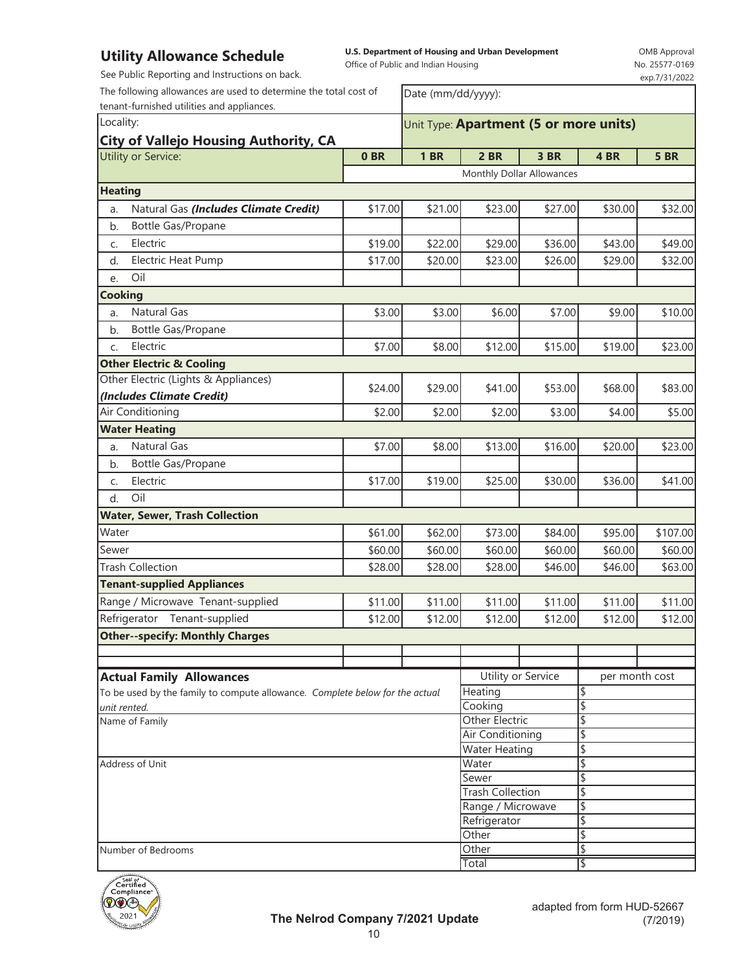**U.S. Department of Housing and Urban Development** 

OMB Approval 577-0169 exp.7/31/2022

tenant-furnished utilities and appliances.

| THIS ANDWANCE DENEMANT<br>See Public Reporting and Instructions on back. |                                                              | Office of Public and Indian Housing |                           |         |                | No. 25577-0169 |
|--------------------------------------------------------------------------|--------------------------------------------------------------|-------------------------------------|---------------------------|---------|----------------|----------------|
| The following allowances are used to determine the total cost of         |                                                              |                                     |                           |         |                | exp.7/31/2022  |
| tenant-furnished utilities and appliances.                               | Date (mm/dd/yyyy):<br>Unit Type: Apartment (5 or more units) |                                     |                           |         |                |                |
| Locality:                                                                |                                                              |                                     |                           |         |                |                |
| <b>City of Vallejo Housing Authority, CA</b>                             |                                                              |                                     |                           |         |                |                |
| <b>Utility or Service:</b>                                               | 0BR                                                          | <b>1 BR</b>                         | 2 BR                      | 3 BR    | 4BR            | <b>5 BR</b>    |
|                                                                          |                                                              |                                     | Monthly Dollar Allowances |         |                |                |
| <b>Heating</b>                                                           |                                                              |                                     |                           |         |                |                |
| Natural Gas (Includes Climate Credit)<br>a.                              | \$17.00                                                      | \$21.00                             | \$23.00                   | \$27.00 | \$30.00        | \$32.00        |
| Bottle Gas/Propane<br>b.                                                 |                                                              |                                     |                           |         |                |                |
| Electric<br>C.                                                           | \$19.00                                                      | \$22.00                             | \$29.00                   | \$36.00 | \$43.00        | \$49.00        |
| Electric Heat Pump<br>d.                                                 | \$17.00                                                      | \$20.00                             | \$23.00                   | \$26.00 | \$29.00        | \$32.00        |
| Oil<br>e.                                                                |                                                              |                                     |                           |         |                |                |
| <b>Cooking</b>                                                           |                                                              |                                     |                           |         |                |                |
| <b>Natural Gas</b><br>a.                                                 | \$3.00                                                       | \$3.00                              | \$6.00                    | \$7.00  | \$9.00         | \$10.00        |
| Bottle Gas/Propane<br>b.                                                 |                                                              |                                     |                           |         |                |                |
| Electric<br>C.                                                           | \$7.00                                                       | \$8.00                              | \$12.00                   | \$15.00 | \$19.00        | \$23.00        |
| <b>Other Electric &amp; Cooling</b>                                      |                                                              |                                     |                           |         |                |                |
| Other Electric (Lights & Appliances)                                     | \$24.00                                                      | \$29.00                             | \$41.00                   | \$53.00 | \$68.00        | \$83.00        |
| (Includes Climate Credit)                                                |                                                              |                                     |                           |         |                |                |
| Air Conditioning                                                         | \$2.00                                                       | \$2.00                              | \$2.00                    | \$3.00  | \$4.00         | \$5.00         |
| <b>Water Heating</b>                                                     |                                                              |                                     |                           |         |                |                |
| <b>Natural Gas</b><br>a.                                                 | \$7.00                                                       | \$8.00                              | \$13.00                   | \$16.00 | \$20.00        | \$23.00        |
| Bottle Gas/Propane<br>b.                                                 |                                                              |                                     |                           |         |                |                |
| Electric<br>C.                                                           | \$17.00                                                      | \$19.00                             | \$25.00                   | \$30.00 | \$36.00        | \$41.00        |
| Oil<br>d.                                                                |                                                              |                                     |                           |         |                |                |
| <b>Water, Sewer, Trash Collection</b>                                    |                                                              |                                     |                           |         |                |                |
| Water                                                                    | \$61.00                                                      | \$62.00                             | \$73.00                   | \$84.00 | \$95.00        | \$107.00       |
| Sewer                                                                    | \$60.00                                                      | \$60.00                             | \$60.00                   | \$60.00 | \$60.00        | \$60.00        |
| <b>Trash Collection</b>                                                  | \$28.00                                                      | \$28.00                             | \$28.00                   | \$46.00 | \$46.00        | \$63.00        |
| <b>Tenant-supplied Appliances</b>                                        |                                                              |                                     |                           |         |                |                |
| Range / Microwave Tenant-supplied                                        | \$11.00                                                      | \$11.00                             | \$11.00                   | \$11.00 | \$11.00        | \$11.00        |
| Refrigerator Tenant-supplied                                             | \$12.00                                                      | \$12.00                             | \$12.00                   | \$12.00 | \$12.00        | \$12.00        |
| <b>Other--specify: Monthly Charges</b>                                   |                                                              |                                     |                           |         |                |                |
|                                                                          |                                                              |                                     |                           |         |                |                |
| <b>Actual Family Allowances</b>                                          |                                                              |                                     | Utility or Service        |         | per month cost |                |

| <b>Actual Family Allowances</b>                                              | Utility or Service      | per month cost |  |  |
|------------------------------------------------------------------------------|-------------------------|----------------|--|--|
| To be used by the family to compute allowance. Complete below for the actual | Heating                 |                |  |  |
| unit rented.                                                                 | Cooking                 |                |  |  |
| Name of Family                                                               | <b>Other Electric</b>   |                |  |  |
|                                                                              | Air Conditioning        |                |  |  |
|                                                                              | <b>Water Heating</b>    |                |  |  |
| Address of Unit                                                              | Water                   |                |  |  |
|                                                                              | Sewer                   |                |  |  |
|                                                                              | <b>Trash Collection</b> |                |  |  |
|                                                                              | Range / Microwave       |                |  |  |
|                                                                              | Refrigerator            |                |  |  |
|                                                                              | Other                   |                |  |  |
| Number of Bedrooms                                                           | Other                   |                |  |  |
|                                                                              | Total                   |                |  |  |
| .                                                                            |                         |                |  |  |

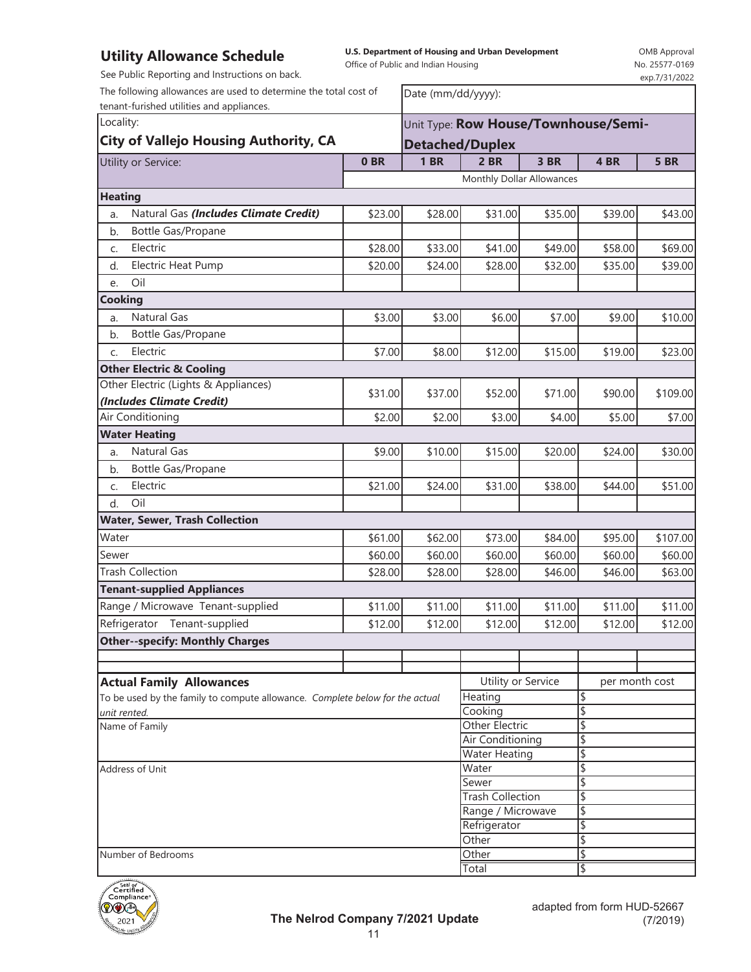**U.S. Department of Housing and Urban Development**  Office of Public and Indian Housing

OMB Approval No. 25577-0169 exp.7/31/2022

per month cost

\$

\$ \$

\$

| See Public Reporting and Instructions on back.                                                                             |                 |                                                            |                           |         |         | exp.7/31/2022 |
|----------------------------------------------------------------------------------------------------------------------------|-----------------|------------------------------------------------------------|---------------------------|---------|---------|---------------|
| The following allowances are used to determine the total cost of<br>tenant-furished utilities and appliances.<br>Locality: |                 | Date (mm/dd/yyyy):<br>Unit Type: Row House/Townhouse/Semi- |                           |         |         |               |
|                                                                                                                            |                 |                                                            |                           |         |         |               |
| Utility or Service:                                                                                                        | 0 <sub>BR</sub> | <b>1 BR</b>                                                | $2$ BR                    | 3 BR    | 4 BR    | <b>5 BR</b>   |
|                                                                                                                            |                 |                                                            | Monthly Dollar Allowances |         |         |               |
| <b>Heating</b>                                                                                                             |                 |                                                            |                           |         |         |               |
| Natural Gas (Includes Climate Credit)<br>a.                                                                                | \$23.00         | \$28.00                                                    | \$31.00                   | \$35.00 | \$39.00 | \$43.00       |
| Bottle Gas/Propane<br>b.                                                                                                   |                 |                                                            |                           |         |         |               |
| Electric<br>C.                                                                                                             | \$28.00         | \$33.00                                                    | \$41.00                   | \$49.00 | \$58.00 | \$69.00       |
| Electric Heat Pump<br>d.                                                                                                   | \$20.00         | \$24.00                                                    | \$28.00                   | \$32.00 | \$35.00 | \$39.00       |
| Oil<br>e.                                                                                                                  |                 |                                                            |                           |         |         |               |
| <b>Cooking</b>                                                                                                             |                 |                                                            |                           |         |         |               |
| <b>Natural Gas</b><br>a.                                                                                                   | \$3.00          | \$3.00                                                     | \$6.00                    | \$7.00  | \$9.00  | \$10.00       |
| Bottle Gas/Propane<br>b.                                                                                                   |                 |                                                            |                           |         |         |               |
| Electric<br>C.                                                                                                             | \$7.00          | \$8.00                                                     | \$12.00                   | \$15.00 | \$19.00 | \$23.00       |
| <b>Other Electric &amp; Cooling</b>                                                                                        |                 |                                                            |                           |         |         |               |
| Other Electric (Lights & Appliances)                                                                                       | \$31.00         | \$37.00                                                    | \$52.00                   | \$71.00 | \$90.00 | \$109.00      |
| (Includes Climate Credit)                                                                                                  |                 |                                                            |                           |         |         |               |
| Air Conditioning                                                                                                           | \$2.00          | \$2.00                                                     | \$3.00                    | \$4.00  | \$5.00  |               |
| <b>Water Heating</b>                                                                                                       |                 |                                                            |                           |         |         |               |
| Natural Gas<br>a.                                                                                                          | \$9.00          | \$10.00                                                    | \$15.00                   | \$20.00 | \$24.00 | \$30.00       |
| Bottle Gas/Propane<br>b.                                                                                                   |                 |                                                            |                           |         |         |               |
| Electric<br>C.                                                                                                             | \$21.00         | \$24.00                                                    | \$31.00                   | \$38.00 | \$44.00 | \$51.00       |
| Oil<br>d.                                                                                                                  |                 |                                                            |                           |         |         |               |
| <b>Water, Sewer, Trash Collection</b>                                                                                      |                 |                                                            |                           |         |         |               |
| Water                                                                                                                      | \$61.00         | \$62.00                                                    | \$73.00                   | \$84.00 | \$95.00 | \$107.00      |
| Sewer                                                                                                                      | \$60.00         | \$60.00                                                    | \$60.00                   | \$60.00 | \$60.00 | \$60.00       |
| <b>Trash Collection</b>                                                                                                    | \$28.00         | \$28.00                                                    | \$28.00                   | \$46.00 | \$46.00 | \$63.00       |
| <b>Tenant-supplied Appliances</b>                                                                                          |                 |                                                            |                           |         |         |               |
| Range / Microwave Tenant-supplied                                                                                          | \$11.00         | \$11.00                                                    | \$11.00                   | \$11.00 | \$11.00 | \$11.00       |
| Refrigerator Tenant-supplied                                                                                               | \$12.00         | \$12.00                                                    | \$12.00                   | \$12.00 | \$12.00 | \$12.00       |

**Other--specify: Monthly Charges Actual Family Allowances View Actual Family Allowances View Actual Family Allowances** To be used by the family to compute allowance. *Complete below for the actual unit rented.* Name of Family

| Address of Unit    | Water                   |  |
|--------------------|-------------------------|--|
|                    | Sewer                   |  |
|                    | <b>Trash Collection</b> |  |
|                    | Range / Microwave       |  |
|                    | Refrigerator            |  |
|                    | Other                   |  |
| Number of Bedrooms | Other                   |  |
|                    | Total                   |  |

Other Electric Air Conditioning Water Heating

**Heating** 

Cooking \

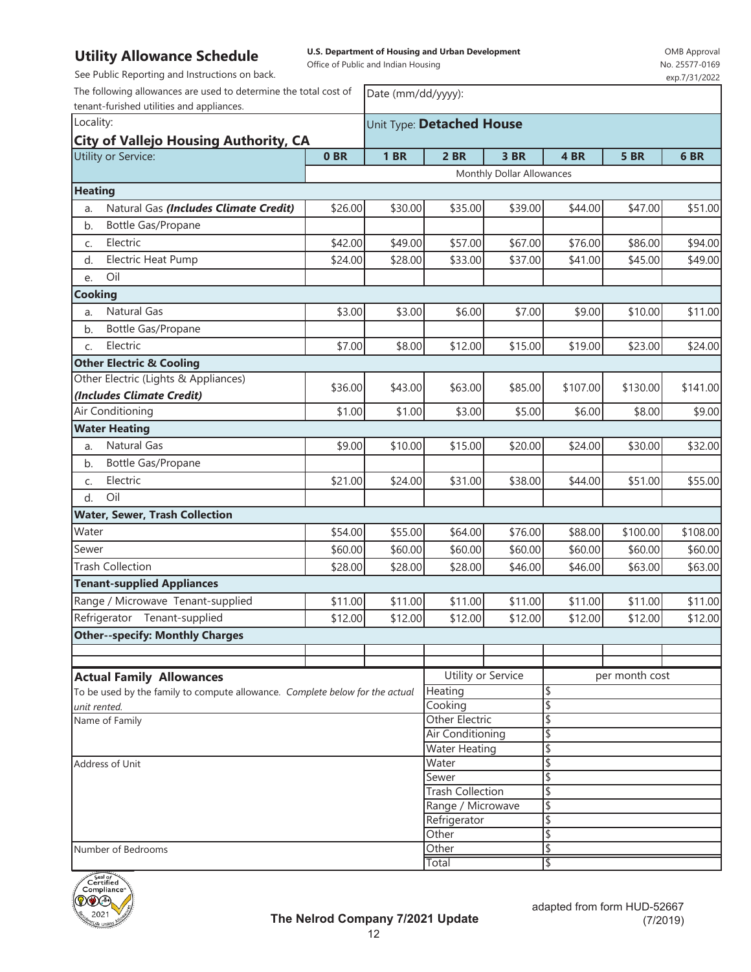**U.S. Department of Housing and Urban Development** 

Office of Public and Indian Housing

OMB Approval No. 25577-0169

| See Public Reporting and Instructions on back.                               |                           |                    |                                      |                           |          |             | exp.7/31/2022 |
|------------------------------------------------------------------------------|---------------------------|--------------------|--------------------------------------|---------------------------|----------|-------------|---------------|
| The following allowances are used to determine the total cost of             |                           | Date (mm/dd/yyyy): |                                      |                           |          |             |               |
| tenant-furished utilities and appliances.                                    |                           |                    |                                      |                           |          |             |               |
| Locality:                                                                    | Unit Type: Detached House |                    |                                      |                           |          |             |               |
| <b>City of Vallejo Housing Authority, CA</b>                                 | 0BR                       | <b>1 BR</b>        | $2$ BR                               | 3 BR                      | 4 BR     | <b>5 BR</b> | 6BR           |
| Utility or Service:                                                          |                           |                    |                                      |                           |          |             |               |
|                                                                              |                           |                    |                                      | Monthly Dollar Allowances |          |             |               |
| <b>Heating</b>                                                               |                           |                    |                                      |                           |          |             |               |
| Natural Gas (Includes Climate Credit)<br>a.                                  | \$26.00                   | \$30.00            | \$35.00                              | \$39.00                   | \$44.00  | \$47.00     | \$51.00       |
| Bottle Gas/Propane<br>b.                                                     |                           |                    |                                      |                           |          |             |               |
| Electric<br>C.                                                               | \$42.00                   | \$49.00            | \$57.00                              | \$67.00                   | \$76.00  | \$86.00     | \$94.00       |
| Electric Heat Pump<br>d.                                                     | \$24.00                   | \$28.00            | \$33.00                              | \$37.00                   | \$41.00  | \$45.00     | \$49.00       |
| Oil<br>e.                                                                    |                           |                    |                                      |                           |          |             |               |
| Cooking                                                                      |                           |                    |                                      |                           |          |             |               |
| Natural Gas<br>a.                                                            | \$3.00                    | \$3.00             | \$6.00                               | \$7.00                    | \$9.00   | \$10.00     | \$11.00       |
| Bottle Gas/Propane<br>b.                                                     |                           |                    |                                      |                           |          |             |               |
| Electric<br>C.                                                               | \$7.00                    | \$8.00             | \$12.00                              | \$15.00                   | \$19.00  | \$23.00     | \$24.00       |
| <b>Other Electric &amp; Cooling</b>                                          |                           |                    |                                      |                           |          |             |               |
| Other Electric (Lights & Appliances)                                         |                           |                    |                                      |                           |          |             |               |
| (Includes Climate Credit)                                                    | \$36.00                   | \$43.00            | \$63.00                              | \$85.00                   | \$107.00 | \$130.00    | \$141.00      |
| Air Conditioning                                                             | \$1.00                    | \$1.00             | \$3.00                               | \$5.00                    | \$6.00   | \$8.00      | \$9.00        |
| <b>Water Heating</b>                                                         |                           |                    |                                      |                           |          |             |               |
| <b>Natural Gas</b><br>a.                                                     | \$9.00                    | \$10.00            | \$15.00                              | \$20.00                   | \$24.00  | \$30.00     | \$32.00       |
| Bottle Gas/Propane<br>b.                                                     |                           |                    |                                      |                           |          |             |               |
| Electric<br>C.                                                               | \$21.00                   | \$24.00            | \$31.00                              | \$38.00                   | \$44.00  | \$51.00     | \$55.00       |
| Oil<br>d.                                                                    |                           |                    |                                      |                           |          |             |               |
| <b>Water, Sewer, Trash Collection</b>                                        |                           |                    |                                      |                           |          |             |               |
| Water                                                                        | \$54.00                   | \$55.00            | \$64.00                              | \$76.00                   | \$88.00  | \$100.00    | \$108.00      |
| Sewer                                                                        | \$60.00                   | \$60.00            | \$60.00                              | \$60.00                   | \$60.00  | \$60.00     | \$60.00       |
| <b>Trash Collection</b>                                                      | \$28.00                   | \$28.00            | \$28.00                              | \$46.00                   | \$46.00  | \$63.00     | \$63.00       |
| <b>Tenant-supplied Appliances</b>                                            |                           |                    |                                      |                           |          |             |               |
| Range / Microwave Tenant-supplied                                            | \$11.00                   | \$11.00            | \$11.00                              | \$11.00                   | \$11.00  | \$11.00     | \$11.00       |
|                                                                              | \$12.00                   |                    |                                      | \$12.00                   |          |             | \$12.00       |
| Refrigerator Tenant-supplied<br><b>Other--specify: Monthly Charges</b>       |                           | \$12.00            | \$12.00                              |                           | \$12.00  | \$12.00     |               |
|                                                                              |                           |                    |                                      |                           |          |             |               |
|                                                                              |                           |                    |                                      |                           |          |             |               |
| <b>Actual Family Allowances</b>                                              |                           |                    | Utility or Service<br>per month cost |                           |          |             |               |
| To be used by the family to compute allowance. Complete below for the actual |                           |                    | Heating<br>\$                        |                           |          |             |               |
| unit rented.                                                                 |                           |                    | Cooking                              |                           | \$       |             |               |
| Name of Family                                                               |                           |                    | Other Electric<br>Air Conditioning   |                           | \$<br>\$ |             |               |
|                                                                              |                           |                    | <b>Water Heating</b>                 |                           | \$       |             |               |
| Address of Unit                                                              |                           |                    | \$<br>Water                          |                           |          |             |               |
|                                                                              |                           |                    | Sewer                                |                           | \$       |             |               |
|                                                                              |                           |                    | <b>Trash Collection</b>              |                           | \$       |             |               |
|                                                                              |                           |                    | Range / Microwave                    |                           | \$       |             |               |
|                                                                              |                           |                    |                                      | \$<br>Refrigerator        |          |             |               |
|                                                                              |                           | Other<br>Other     |                                      | \$<br>\$                  |          |             |               |
| Number of Bedrooms                                                           |                           |                    | Total                                |                           |          |             |               |
|                                                                              |                           |                    |                                      |                           |          |             |               |